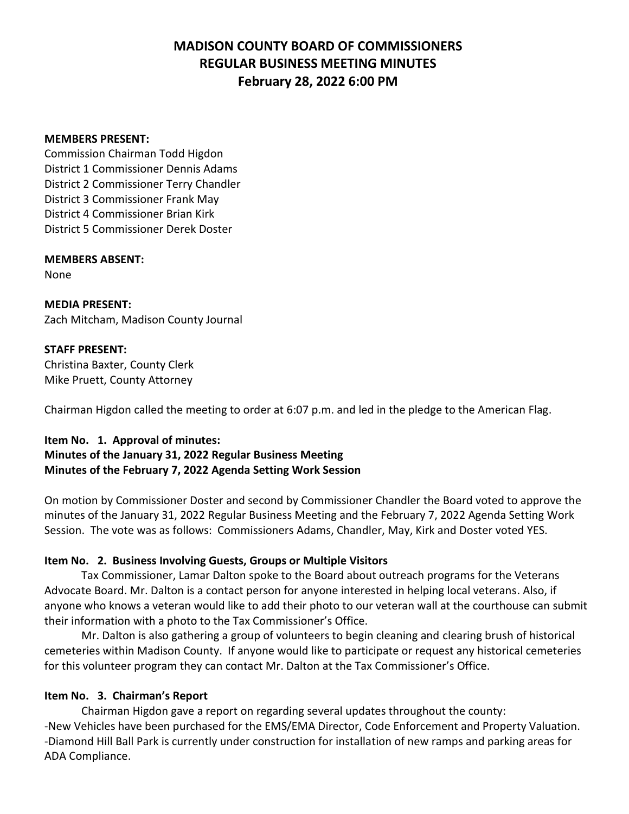#### **MEMBERS PRESENT:**

Commission Chairman Todd Higdon District 1 Commissioner Dennis Adams District 2 Commissioner Terry Chandler District 3 Commissioner Frank May District 4 Commissioner Brian Kirk District 5 Commissioner Derek Doster

# **MEMBERS ABSENT:**

None

**MEDIA PRESENT:** Zach Mitcham, Madison County Journal

### **STAFF PRESENT:**

Christina Baxter, County Clerk Mike Pruett, County Attorney

Chairman Higdon called the meeting to order at 6:07 p.m. and led in the pledge to the American Flag.

# **Item No. 1. Approval of minutes:**

**Minutes of the January 31, 2022 Regular Business Meeting Minutes of the February 7, 2022 Agenda Setting Work Session** 

On motion by Commissioner Doster and second by Commissioner Chandler the Board voted to approve the minutes of the January 31, 2022 Regular Business Meeting and the February 7, 2022 Agenda Setting Work Session. The vote was as follows: Commissioners Adams, Chandler, May, Kirk and Doster voted YES.

# **Item No. 2. Business Involving Guests, Groups or Multiple Visitors**

Tax Commissioner, Lamar Dalton spoke to the Board about outreach programs for the Veterans Advocate Board. Mr. Dalton is a contact person for anyone interested in helping local veterans. Also, if anyone who knows a veteran would like to add their photo to our veteran wall at the courthouse can submit their information with a photo to the Tax Commissioner's Office.

Mr. Dalton is also gathering a group of volunteers to begin cleaning and clearing brush of historical cemeteries within Madison County. If anyone would like to participate or request any historical cemeteries for this volunteer program they can contact Mr. Dalton at the Tax Commissioner's Office.

# **Item No. 3. Chairman's Report**

Chairman Higdon gave a report on regarding several updates throughout the county: -New Vehicles have been purchased for the EMS/EMA Director, Code Enforcement and Property Valuation. -Diamond Hill Ball Park is currently under construction for installation of new ramps and parking areas for ADA Compliance.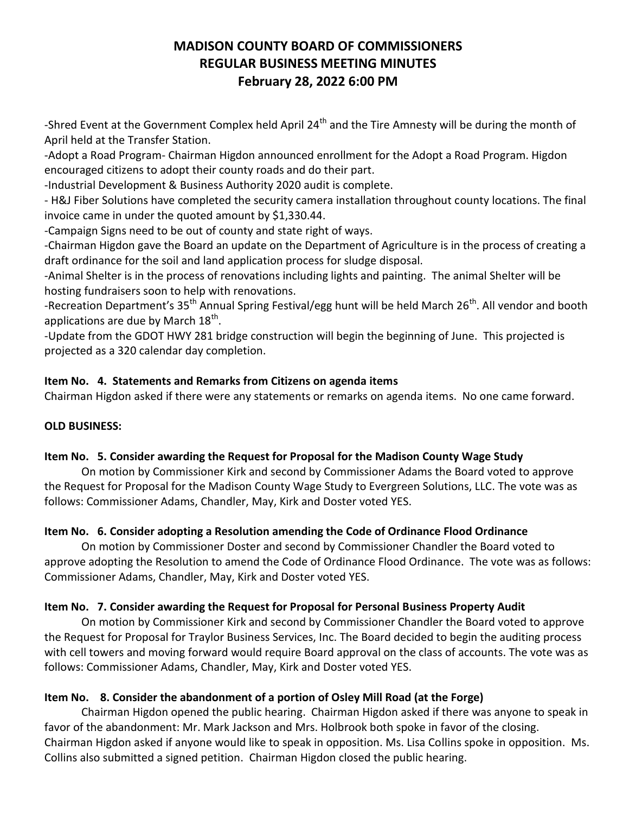-Shred Event at the Government Complex held April 24<sup>th</sup> and the Tire Amnesty will be during the month of April held at the Transfer Station.

-Adopt a Road Program- Chairman Higdon announced enrollment for the Adopt a Road Program. Higdon encouraged citizens to adopt their county roads and do their part.

-Industrial Development & Business Authority 2020 audit is complete.

- H&J Fiber Solutions have completed the security camera installation throughout county locations. The final invoice came in under the quoted amount by \$1,330.44.

-Campaign Signs need to be out of county and state right of ways.

-Chairman Higdon gave the Board an update on the Department of Agriculture is in the process of creating a draft ordinance for the soil and land application process for sludge disposal.

-Animal Shelter is in the process of renovations including lights and painting. The animal Shelter will be hosting fundraisers soon to help with renovations.

-Recreation Department's 35<sup>th</sup> Annual Spring Festival/egg hunt will be held March 26<sup>th</sup>. All vendor and booth applications are due by March  $18^{\text{th}}$ .

-Update from the GDOT HWY 281 bridge construction will begin the beginning of June. This projected is projected as a 320 calendar day completion.

# **Item No. 4. Statements and Remarks from Citizens on agenda items**

Chairman Higdon asked if there were any statements or remarks on agenda items. No one came forward.

# **OLD BUSINESS:**

# **Item No. 5. Consider awarding the Request for Proposal for the Madison County Wage Study**

On motion by Commissioner Kirk and second by Commissioner Adams the Board voted to approve the Request for Proposal for the Madison County Wage Study to Evergreen Solutions, LLC. The vote was as follows: Commissioner Adams, Chandler, May, Kirk and Doster voted YES.

# **Item No. 6. Consider adopting a Resolution amending the Code of Ordinance Flood Ordinance**

On motion by Commissioner Doster and second by Commissioner Chandler the Board voted to approve adopting the Resolution to amend the Code of Ordinance Flood Ordinance. The vote was as follows: Commissioner Adams, Chandler, May, Kirk and Doster voted YES.

# **Item No. 7. Consider awarding the Request for Proposal for Personal Business Property Audit**

On motion by Commissioner Kirk and second by Commissioner Chandler the Board voted to approve the Request for Proposal for Traylor Business Services, Inc. The Board decided to begin the auditing process with cell towers and moving forward would require Board approval on the class of accounts. The vote was as follows: Commissioner Adams, Chandler, May, Kirk and Doster voted YES.

# **Item No. 8. Consider the abandonment of a portion of Osley Mill Road (at the Forge)**

Chairman Higdon opened the public hearing. Chairman Higdon asked if there was anyone to speak in favor of the abandonment: Mr. Mark Jackson and Mrs. Holbrook both spoke in favor of the closing. Chairman Higdon asked if anyone would like to speak in opposition. Ms. Lisa Collins spoke in opposition. Ms. Collins also submitted a signed petition. Chairman Higdon closed the public hearing.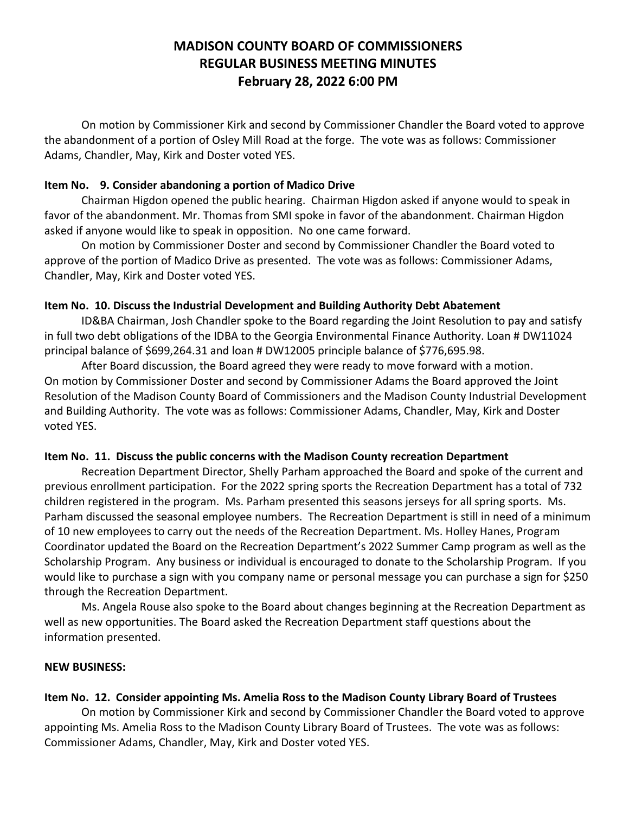On motion by Commissioner Kirk and second by Commissioner Chandler the Board voted to approve the abandonment of a portion of Osley Mill Road at the forge. The vote was as follows: Commissioner Adams, Chandler, May, Kirk and Doster voted YES.

### **Item No. 9. Consider abandoning a portion of Madico Drive**

Chairman Higdon opened the public hearing. Chairman Higdon asked if anyone would to speak in favor of the abandonment. Mr. Thomas from SMI spoke in favor of the abandonment. Chairman Higdon asked if anyone would like to speak in opposition. No one came forward.

On motion by Commissioner Doster and second by Commissioner Chandler the Board voted to approve of the portion of Madico Drive as presented. The vote was as follows: Commissioner Adams, Chandler, May, Kirk and Doster voted YES.

### **Item No. 10. Discuss the Industrial Development and Building Authority Debt Abatement**

ID&BA Chairman, Josh Chandler spoke to the Board regarding the Joint Resolution to pay and satisfy in full two debt obligations of the IDBA to the Georgia Environmental Finance Authority. Loan # DW11024 principal balance of \$699,264.31 and loan # DW12005 principle balance of \$776,695.98.

After Board discussion, the Board agreed they were ready to move forward with a motion. On motion by Commissioner Doster and second by Commissioner Adams the Board approved the Joint Resolution of the Madison County Board of Commissioners and the Madison County Industrial Development and Building Authority. The vote was as follows: Commissioner Adams, Chandler, May, Kirk and Doster voted YES.

#### **Item No. 11. Discuss the public concerns with the Madison County recreation Department**

Recreation Department Director, Shelly Parham approached the Board and spoke of the current and previous enrollment participation. For the 2022 spring sports the Recreation Department has a total of 732 children registered in the program. Ms. Parham presented this seasons jerseys for all spring sports. Ms. Parham discussed the seasonal employee numbers. The Recreation Department is still in need of a minimum of 10 new employees to carry out the needs of the Recreation Department. Ms. Holley Hanes, Program Coordinator updated the Board on the Recreation Department's 2022 Summer Camp program as well as the Scholarship Program. Any business or individual is encouraged to donate to the Scholarship Program. If you would like to purchase a sign with you company name or personal message you can purchase a sign for \$250 through the Recreation Department.

Ms. Angela Rouse also spoke to the Board about changes beginning at the Recreation Department as well as new opportunities. The Board asked the Recreation Department staff questions about the information presented.

# **NEW BUSINESS:**

# **Item No. 12. Consider appointing Ms. Amelia Ross to the Madison County Library Board of Trustees**

On motion by Commissioner Kirk and second by Commissioner Chandler the Board voted to approve appointing Ms. Amelia Ross to the Madison County Library Board of Trustees. The vote was as follows: Commissioner Adams, Chandler, May, Kirk and Doster voted YES.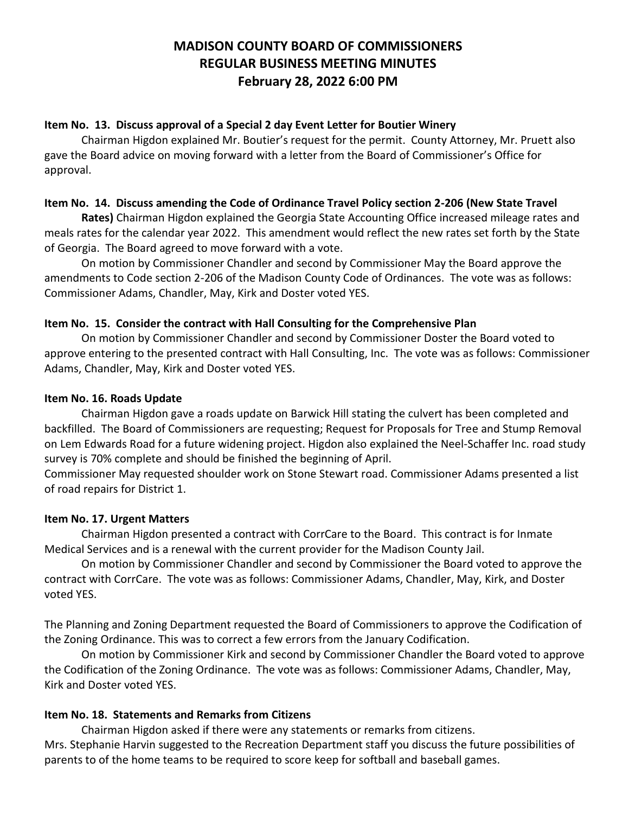### **Item No. 13. Discuss approval of a Special 2 day Event Letter for Boutier Winery**

Chairman Higdon explained Mr. Boutier's request for the permit. County Attorney, Mr. Pruett also gave the Board advice on moving forward with a letter from the Board of Commissioner's Office for approval.

### **Item No. 14. Discuss amending the Code of Ordinance Travel Policy section 2-206 (New State Travel**

**Rates)** Chairman Higdon explained the Georgia State Accounting Office increased mileage rates and meals rates for the calendar year 2022. This amendment would reflect the new rates set forth by the State of Georgia. The Board agreed to move forward with a vote.

On motion by Commissioner Chandler and second by Commissioner May the Board approve the amendments to Code section 2-206 of the Madison County Code of Ordinances. The vote was as follows: Commissioner Adams, Chandler, May, Kirk and Doster voted YES.

### **Item No. 15. Consider the contract with Hall Consulting for the Comprehensive Plan**

On motion by Commissioner Chandler and second by Commissioner Doster the Board voted to approve entering to the presented contract with Hall Consulting, Inc. The vote was as follows: Commissioner Adams, Chandler, May, Kirk and Doster voted YES.

### **Item No. 16. Roads Update**

Chairman Higdon gave a roads update on Barwick Hill stating the culvert has been completed and backfilled. The Board of Commissioners are requesting; Request for Proposals for Tree and Stump Removal on Lem Edwards Road for a future widening project. Higdon also explained the Neel-Schaffer Inc. road study survey is 70% complete and should be finished the beginning of April.

Commissioner May requested shoulder work on Stone Stewart road. Commissioner Adams presented a list of road repairs for District 1.

# **Item No. 17. Urgent Matters**

Chairman Higdon presented a contract with CorrCare to the Board. This contract is for Inmate Medical Services and is a renewal with the current provider for the Madison County Jail.

On motion by Commissioner Chandler and second by Commissioner the Board voted to approve the contract with CorrCare. The vote was as follows: Commissioner Adams, Chandler, May, Kirk, and Doster voted YES.

The Planning and Zoning Department requested the Board of Commissioners to approve the Codification of the Zoning Ordinance. This was to correct a few errors from the January Codification.

On motion by Commissioner Kirk and second by Commissioner Chandler the Board voted to approve the Codification of the Zoning Ordinance. The vote was as follows: Commissioner Adams, Chandler, May, Kirk and Doster voted YES.

# **Item No. 18. Statements and Remarks from Citizens**

Chairman Higdon asked if there were any statements or remarks from citizens. Mrs. Stephanie Harvin suggested to the Recreation Department staff you discuss the future possibilities of parents to of the home teams to be required to score keep for softball and baseball games.